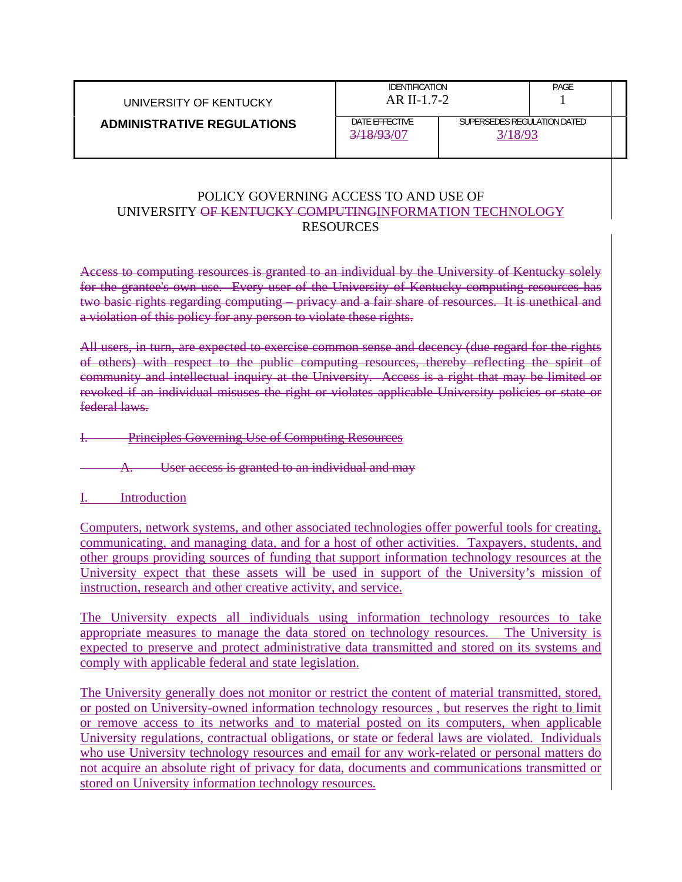| UNIVERSITY OF KENTUCKY            | <b>IDENTIFICATION</b><br>$AR$ II-1.7-2. |                                      | PAGE |  |
|-----------------------------------|-----------------------------------------|--------------------------------------|------|--|
| <b>ADMINISTRATIVE REGULATIONS</b> | DATE EFFECTIVE<br>3/18/93/07            | SUPERSEDES REGULATION DATED<br>18/93 |      |  |

### POLICY GOVERNING ACCESS TO AND USE OF UNIVERSITY OF KENTUCKY COMPUTINGINFORMATION TECHNOLOGY RESOURCES

Access to computing resources is granted to an individual by the University of Kentucky solely for the grantee's own use. Every user of the University of Kentucky computing resources has two basic rights regarding computing – privacy and a fair share of resources. It is unethical and a violation of this policy for any person to violate these rights.

All users, in turn, are expected to exercise common sense and decency (due regard for the rights of others) with respect to the public computing resources, thereby reflecting the spirit of community and intellectual inquiry at the University. Access is a right that may be limited or revoked if an individual misuses the right or violates applicable University policies or state or federal laws.

### I. Principles Governing Use of Computing Resources

User access is granted to an individual and may

### I. Introduction

Computers, network systems, and other associated technologies offer powerful tools for creating, communicating, and managing data, and for a host of other activities. Taxpayers, students, and other groups providing sources of funding that support information technology resources at the University expect that these assets will be used in support of the University's mission of instruction, research and other creative activity, and service.

The University expects all individuals using information technology resources to take appropriate measures to manage the data stored on technology resources. The University is expected to preserve and protect administrative data transmitted and stored on its systems and comply with applicable federal and state legislation.

The University generally does not monitor or restrict the content of material transmitted, stored, or posted on University-owned information technology resources , but reserves the right to limit or remove access to its networks and to material posted on its computers, when applicable University regulations, contractual obligations, or state or federal laws are violated. Individuals who use University technology resources and email for any work-related or personal matters do not acquire an absolute right of privacy for data, documents and communications transmitted or stored on University information technology resources.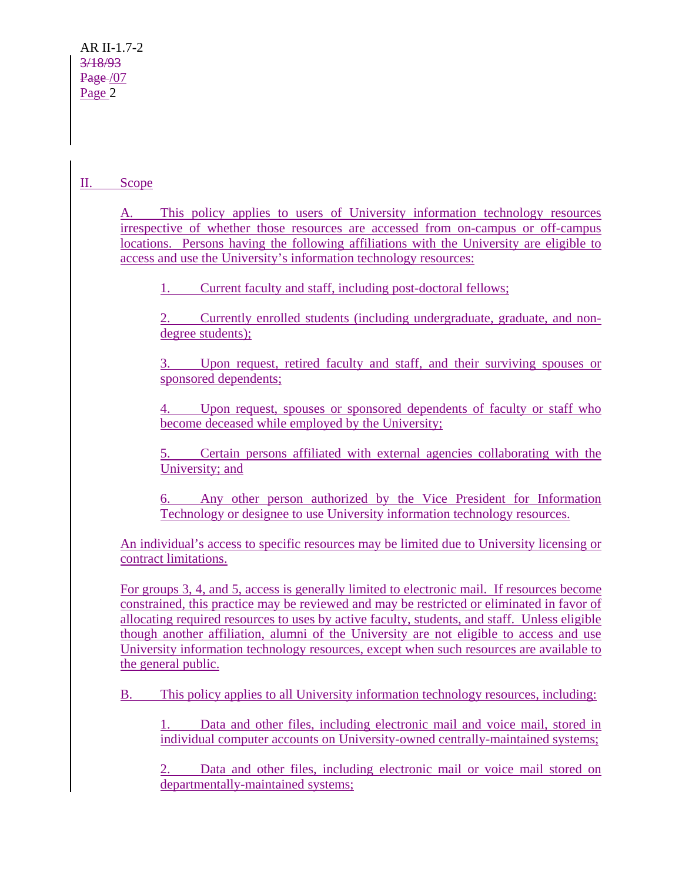## II. Scope

A. This policy applies to users of University information technology resources irrespective of whether those resources are accessed from on-campus or off-campus locations. Persons having the following affiliations with the University are eligible to access and use the University's information technology resources:

1. Current faculty and staff, including post-doctoral fellows;

2. Currently enrolled students (including undergraduate, graduate, and nondegree students);

3. Upon request, retired faculty and staff, and their surviving spouses or sponsored dependents;

Upon request, spouses or sponsored dependents of faculty or staff who become deceased while employed by the University;

5. Certain persons affiliated with external agencies collaborating with the University; and

6. Any other person authorized by the Vice President for Information Technology or designee to use University information technology resources.

An individual's access to specific resources may be limited due to University licensing or contract limitations.

For groups 3, 4, and 5, access is generally limited to electronic mail. If resources become constrained, this practice may be reviewed and may be restricted or eliminated in favor of allocating required resources to uses by active faculty, students, and staff. Unless eligible though another affiliation, alumni of the University are not eligible to access and use University information technology resources, except when such resources are available to the general public.

B. This policy applies to all University information technology resources, including:

1. Data and other files, including electronic mail and voice mail, stored in individual computer accounts on University-owned centrally-maintained systems;

Data and other files, including electronic mail or voice mail stored on departmentally-maintained systems;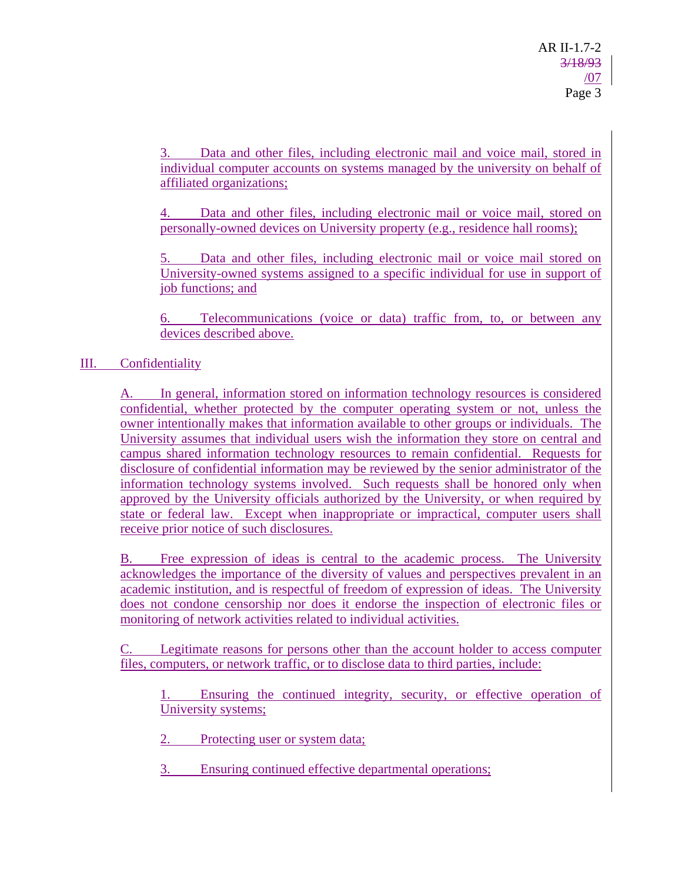3. Data and other files, including electronic mail and voice mail, stored in individual computer accounts on systems managed by the university on behalf of affiliated organizations;

4. Data and other files, including electronic mail or voice mail, stored on personally-owned devices on University property (e.g., residence hall rooms);

Data and other files, including electronic mail or voice mail stored on University-owned systems assigned to a specific individual for use in support of job functions; and

6. Telecommunications (voice or data) traffic from, to, or between any devices described above.

# III. Confidentiality

A. In general, information stored on information technology resources is considered confidential, whether protected by the computer operating system or not, unless the owner intentionally makes that information available to other groups or individuals. The University assumes that individual users wish the information they store on central and campus shared information technology resources to remain confidential. Requests for disclosure of confidential information may be reviewed by the senior administrator of the information technology systems involved. Such requests shall be honored only when approved by the University officials authorized by the University, or when required by state or federal law. Except when inappropriate or impractical, computer users shall receive prior notice of such disclosures.

B. Free expression of ideas is central to the academic process. The University acknowledges the importance of the diversity of values and perspectives prevalent in an academic institution, and is respectful of freedom of expression of ideas. The University does not condone censorship nor does it endorse the inspection of electronic files or monitoring of network activities related to individual activities.

C. Legitimate reasons for persons other than the account holder to access computer files, computers, or network traffic, or to disclose data to third parties, include:

1. Ensuring the continued integrity, security, or effective operation of University systems;

2. Protecting user or system data;

3. Ensuring continued effective departmental operations;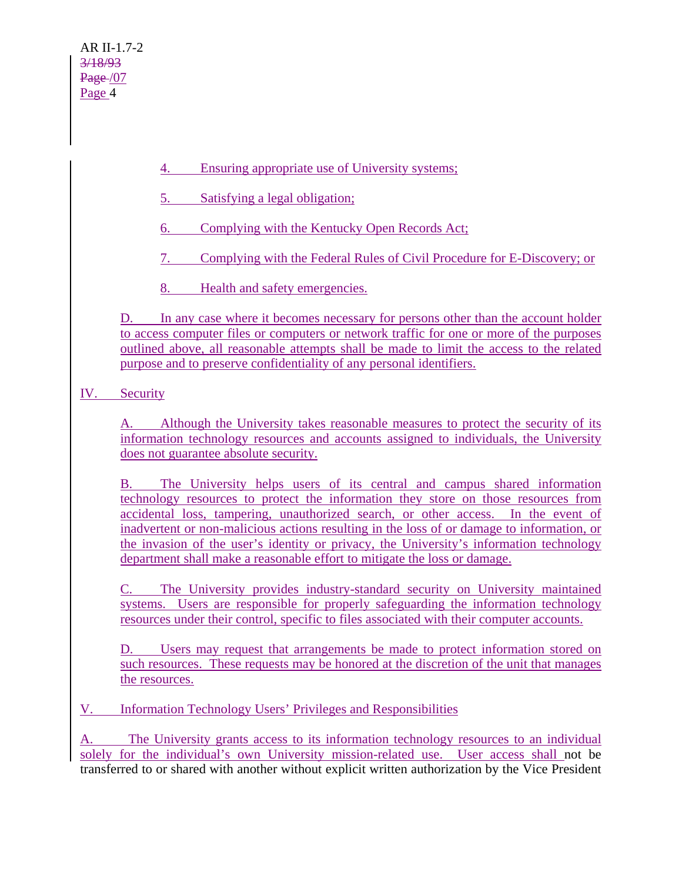- 4. Ensuring appropriate use of University systems;
- 5. Satisfying a legal obligation;
- 6. Complying with the Kentucky Open Records Act;
- 7. Complying with the Federal Rules of Civil Procedure for E-Discovery; or
- 8. Health and safety emergencies.

D. In any case where it becomes necessary for persons other than the account holder to access computer files or computers or network traffic for one or more of the purposes outlined above, all reasonable attempts shall be made to limit the access to the related purpose and to preserve confidentiality of any personal identifiers.

IV. Security

A. Although the University takes reasonable measures to protect the security of its information technology resources and accounts assigned to individuals, the University does not guarantee absolute security.

B. The University helps users of its central and campus shared information technology resources to protect the information they store on those resources from accidental loss, tampering, unauthorized search, or other access. In the event of inadvertent or non-malicious actions resulting in the loss of or damage to information, or the invasion of the user's identity or privacy, the University's information technology department shall make a reasonable effort to mitigate the loss or damage.

C. The University provides industry-standard security on University maintained systems. Users are responsible for properly safeguarding the information technology resources under their control, specific to files associated with their computer accounts.

D. Users may request that arrangements be made to protect information stored on such resources. These requests may be honored at the discretion of the unit that manages the resources.

V. Information Technology Users' Privileges and Responsibilities

A. The University grants access to its information technology resources to an individual solely for the individual's own University mission-related use. User access shall not be transferred to or shared with another without explicit written authorization by the Vice President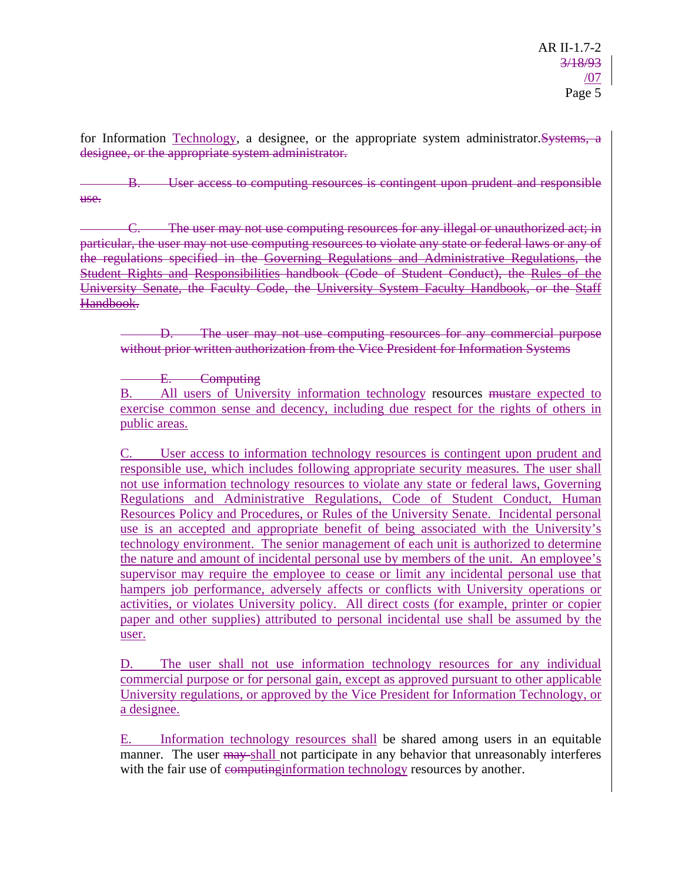for Information Technology, a designee, or the appropriate system administrator.Systems, a designee, or the appropriate system administrator.

User access to computing resources is contingent upon prudent and responsible use.

C. The user may not use computing resources for any illegal or unauthorized act; in particular, the user may not use computing resources to violate any state or federal laws or any of the regulations specified in the Governing Regulations and Administrative Regulations, the Student Rights and Responsibilities handbook (Code of Student Conduct), the Rules of the University Senate, the Faculty Code, the University System Faculty Handbook, or the Staff Handbook.

The user may not use computing resources for any commercial purpose without prior written authorization from the Vice President for Information Systems

E. Computing

B. All users of University information technology resources mustare expected to exercise common sense and decency, including due respect for the rights of others in public areas.

C. User access to information technology resources is contingent upon prudent and responsible use, which includes following appropriate security measures. The user shall not use information technology resources to violate any state or federal laws, Governing Regulations and Administrative Regulations, Code of Student Conduct, Human Resources Policy and Procedures, or Rules of the University Senate. Incidental personal use is an accepted and appropriate benefit of being associated with the University's technology environment. The senior management of each unit is authorized to determine the nature and amount of incidental personal use by members of the unit. An employee's supervisor may require the employee to cease or limit any incidental personal use that hampers job performance, adversely affects or conflicts with University operations or activities, or violates University policy. All direct costs (for example, printer or copier paper and other supplies) attributed to personal incidental use shall be assumed by the user.

D. The user shall not use information technology resources for any individual commercial purpose or for personal gain, except as approved pursuant to other applicable University regulations, or approved by the Vice President for Information Technology, or a designee.

E. Information technology resources shall be shared among users in an equitable manner. The user may shall not participate in any behavior that unreasonably interferes with the fair use of computing information technology resources by another.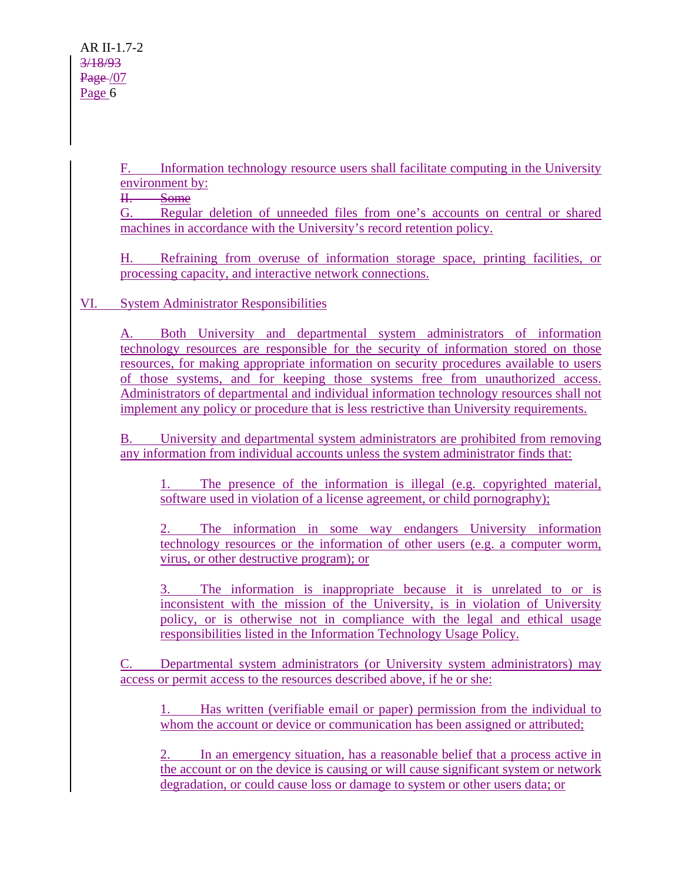F. Information technology resource users shall facilitate computing in the University environment by:

II. Some

G. Regular deletion of unneeded files from one's accounts on central or shared machines in accordance with the University's record retention policy.

H. Refraining from overuse of information storage space, printing facilities, or processing capacity, and interactive network connections.

VI. System Administrator Responsibilities

A. Both University and departmental system administrators of information technology resources are responsible for the security of information stored on those resources, for making appropriate information on security procedures available to users of those systems, and for keeping those systems free from unauthorized access. Administrators of departmental and individual information technology resources shall not implement any policy or procedure that is less restrictive than University requirements.

B. University and departmental system administrators are prohibited from removing any information from individual accounts unless the system administrator finds that:

1. The presence of the information is illegal (e.g. copyrighted material, software used in violation of a license agreement, or child pornography);

2. The information in some way endangers University information technology resources or the information of other users (e.g. a computer worm, virus, or other destructive program); or

3. The information is inappropriate because it is unrelated to or is inconsistent with the mission of the University, is in violation of University policy, or is otherwise not in compliance with the legal and ethical usage responsibilities listed in the Information Technology Usage Policy.

C. Departmental system administrators (or University system administrators) may access or permit access to the resources described above, if he or she:

1. Has written (verifiable email or paper) permission from the individual to whom the account or device or communication has been assigned or attributed;

2. In an emergency situation, has a reasonable belief that a process active in the account or on the device is causing or will cause significant system or network degradation, or could cause loss or damage to system or other users data; or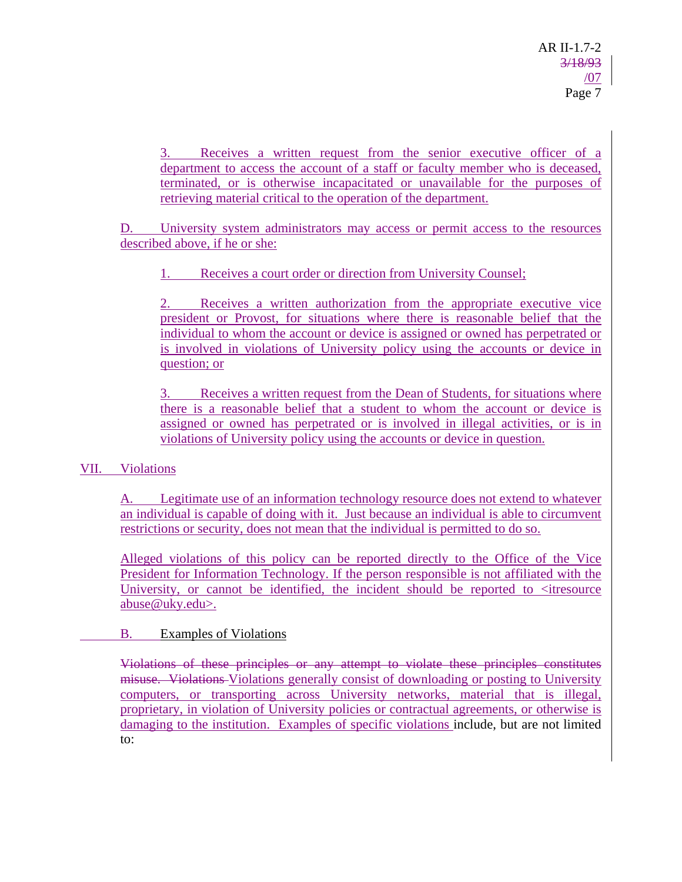3. Receives a written request from the senior executive officer of a department to access the account of a staff or faculty member who is deceased, terminated, or is otherwise incapacitated or unavailable for the purposes of retrieving material critical to the operation of the department.

D. University system administrators may access or permit access to the resources described above, if he or she:

Receives a court order or direction from University Counsel;

2. Receives a written authorization from the appropriate executive vice president or Provost, for situations where there is reasonable belief that the individual to whom the account or device is assigned or owned has perpetrated or is involved in violations of University policy using the accounts or device in question; or

3. Receives a written request from the Dean of Students, for situations where there is a reasonable belief that a student to whom the account or device is assigned or owned has perpetrated or is involved in illegal activities, or is in violations of University policy using the accounts or device in question.

## VII. Violations

A. Legitimate use of an information technology resource does not extend to whatever an individual is capable of doing with it. Just because an individual is able to circumvent restrictions or security, does not mean that the individual is permitted to do so.

Alleged violations of this policy can be reported directly to the Office of the Vice President for Information Technology. If the person responsible is not affiliated with the University, or cannot be identified, the incident should be reported to  $\leq$  it resource abuse@uky.edu>.

### B. Examples of Violations

Violations of these principles or any attempt to violate these principles constitutes misuse. Violations-Violations generally consist of downloading or posting to University computers, or transporting across University networks, material that is illegal, proprietary, in violation of University policies or contractual agreements, or otherwise is damaging to the institution. Examples of specific violations include, but are not limited to: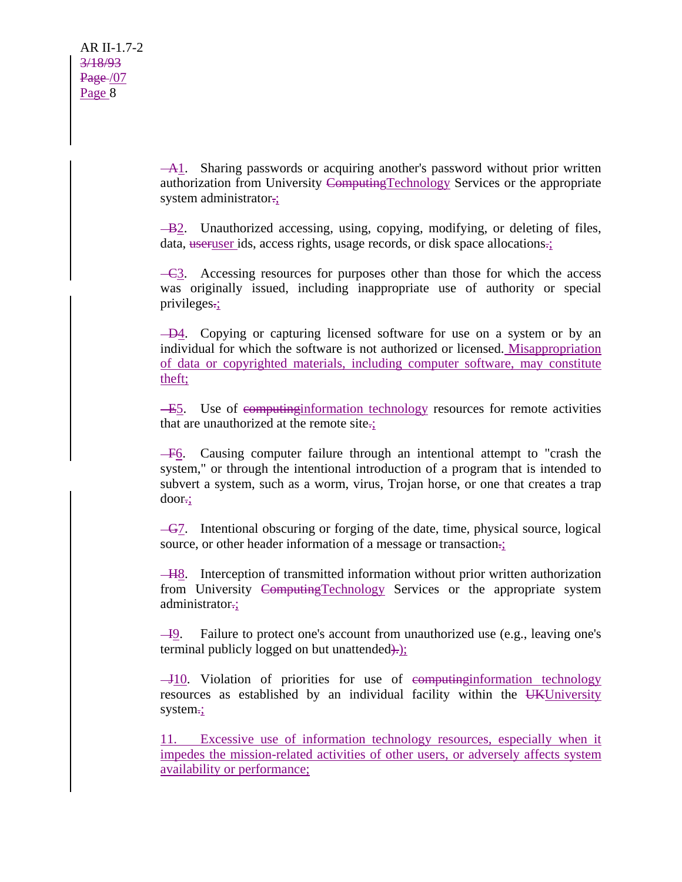A1. Sharing passwords or acquiring another's password without prior written authorization from University ComputingTechnology Services or the appropriate system administrator.

 $-B2$ . Unauthorized accessing, using, copying, modifying, or deleting of files, data, useruser ids, access rights, usage records, or disk space allocations.;

 $-\epsilon$ 3. Accessing resources for purposes other than those for which the access was originally issued, including inappropriate use of authority or special privileges.;

 $-D4$ . Copying or capturing licensed software for use on a system or by an individual for which the software is not authorized or licensed. Misappropriation of data or copyrighted materials, including computer software, may constitute theft;

E5. Use of computinginformation technology resources for remote activities that are unauthorized at the remote site.;

F6. Causing computer failure through an intentional attempt to "crash the system," or through the intentional introduction of a program that is intended to subvert a system, such as a worm, virus, Trojan horse, or one that creates a trap door.;

 $-\frac{G}{l}$ . Intentional obscuring or forging of the date, time, physical source, logical source, or other header information of a message or transaction.;

H8. Interception of transmitted information without prior written authorization from University ComputingTechnology Services or the appropriate system administrator.;

 $\overline{-19}$ . Failure to protect one's account from unauthorized use (e.g., leaving one's terminal publicly logged on but unattended).

 $-J10$ . Violation of priorities for use of empleting information technology resources as established by an individual facility within the UKUniversity system.;

11. Excessive use of information technology resources, especially when it impedes the mission-related activities of other users, or adversely affects system availability or performance;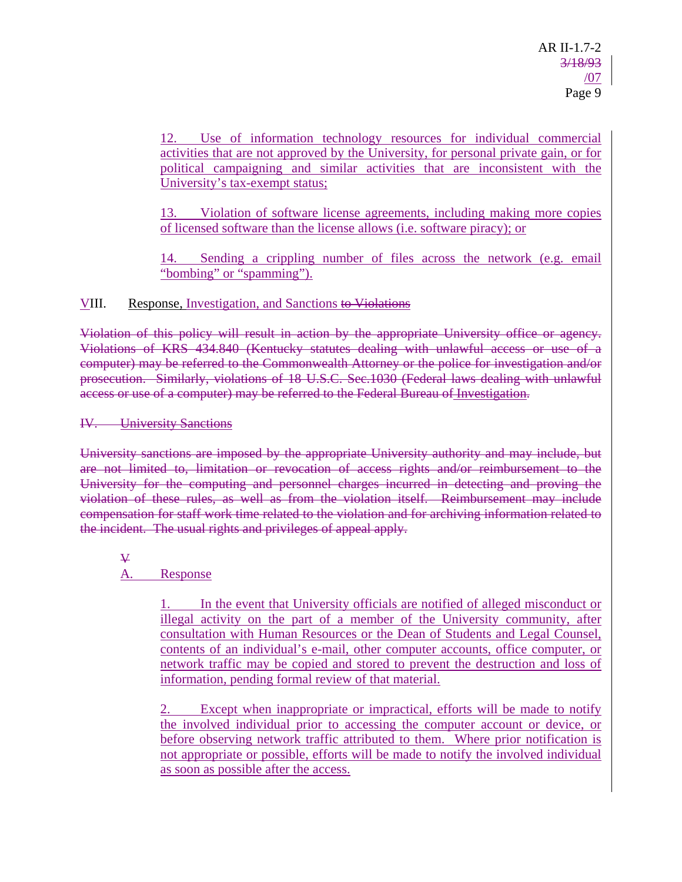12. Use of information technology resources for individual commercial activities that are not approved by the University, for personal private gain, or for political campaigning and similar activities that are inconsistent with the University's tax-exempt status;

13. Violation of software license agreements, including making more copies of licensed software than the license allows (i.e. software piracy); or

Sending a crippling number of files across the network (e.g. email "bombing" or "spamming").

## VIII. Response, Investigation, and Sanctions to Violations

Violation of this policy will result in action by the appropriate University office or agency. Violations of KRS 434.840 (Kentucky statutes dealing with unlawful access or use of a computer) may be referred to the Commonwealth Attorney or the police for investigation and/or prosecution. Similarly, violations of 18 U.S.C. Sec.1030 (Federal laws dealing with unlawful access or use of a computer) may be referred to the Federal Bureau of Investigation.

### IV. University Sanctions

University sanctions are imposed by the appropriate University authority and may include, but are not limited to, limitation or revocation of access rights and/or reimbursement to the University for the computing and personnel charges incurred in detecting and proving the violation of these rules, as well as from the violation itself. Reimbursement may include compensation for staff work time related to the violation and for archiving information related to the incident. The usual rights and privileges of appeal apply.

# $\overline{\mathbf{V}}$

## A. Response

1. In the event that University officials are notified of alleged misconduct or illegal activity on the part of a member of the University community, after consultation with Human Resources or the Dean of Students and Legal Counsel, contents of an individual's e-mail, other computer accounts, office computer, or network traffic may be copied and stored to prevent the destruction and loss of information, pending formal review of that material.

2. Except when inappropriate or impractical, efforts will be made to notify the involved individual prior to accessing the computer account or device, or before observing network traffic attributed to them. Where prior notification is not appropriate or possible, efforts will be made to notify the involved individual as soon as possible after the access.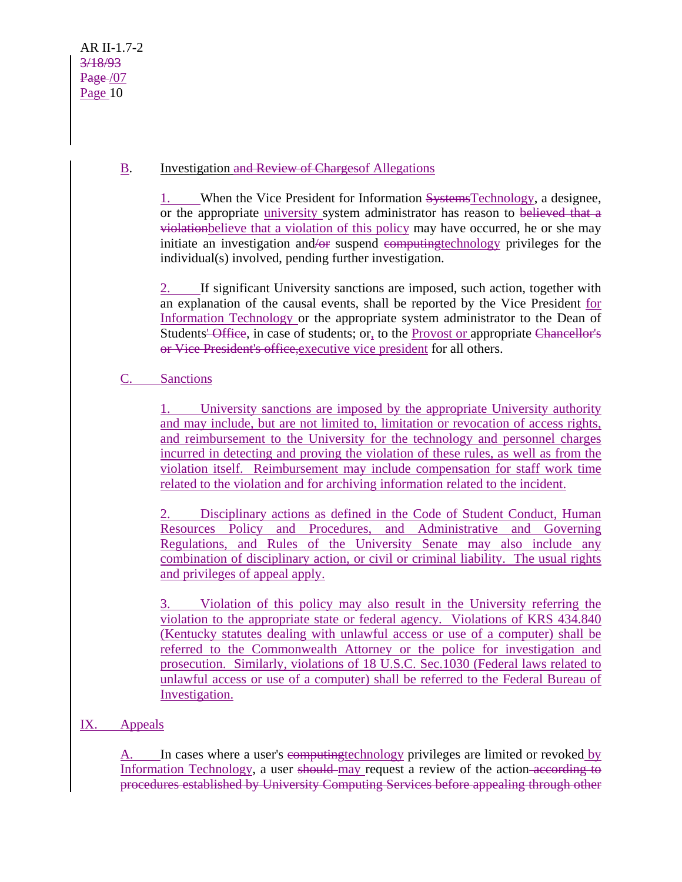# B. Investigation and Review of Chargesof Allegations

1. When the Vice President for Information SystemsTechnology, a designee, or the appropriate university system administrator has reason to believed that a violationbelieve that a violation of this policy may have occurred, he or she may initiate an investigation and/or suspend computingtechnology privileges for the individual(s) involved, pending further investigation.

2. If significant University sanctions are imposed, such action, together with an explanation of the causal events, shall be reported by the Vice President for Information Technology or the appropriate system administrator to the Dean of Students' Office, in case of students; or, to the Provost or appropriate Chancellor's or Vice President's office,executive vice president for all others.

# C. Sanctions

1. University sanctions are imposed by the appropriate University authority and may include, but are not limited to, limitation or revocation of access rights, and reimbursement to the University for the technology and personnel charges incurred in detecting and proving the violation of these rules, as well as from the violation itself. Reimbursement may include compensation for staff work time related to the violation and for archiving information related to the incident.

2. Disciplinary actions as defined in the Code of Student Conduct, Human Resources Policy and Procedures, and Administrative and Governing Regulations, and Rules of the University Senate may also include any combination of disciplinary action, or civil or criminal liability. The usual rights and privileges of appeal apply.

3. Violation of this policy may also result in the University referring the violation to the appropriate state or federal agency. Violations of KRS 434.840 (Kentucky statutes dealing with unlawful access or use of a computer) shall be referred to the Commonwealth Attorney or the police for investigation and prosecution. Similarly, violations of 18 U.S.C. Sec.1030 (Federal laws related to unlawful access or use of a computer) shall be referred to the Federal Bureau of Investigation.

## IX. Appeals

A. In cases where a user's computing technology privileges are limited or revoked by Information Technology, a user should may request a review of the action according to procedures established by University Computing Services before appealing through other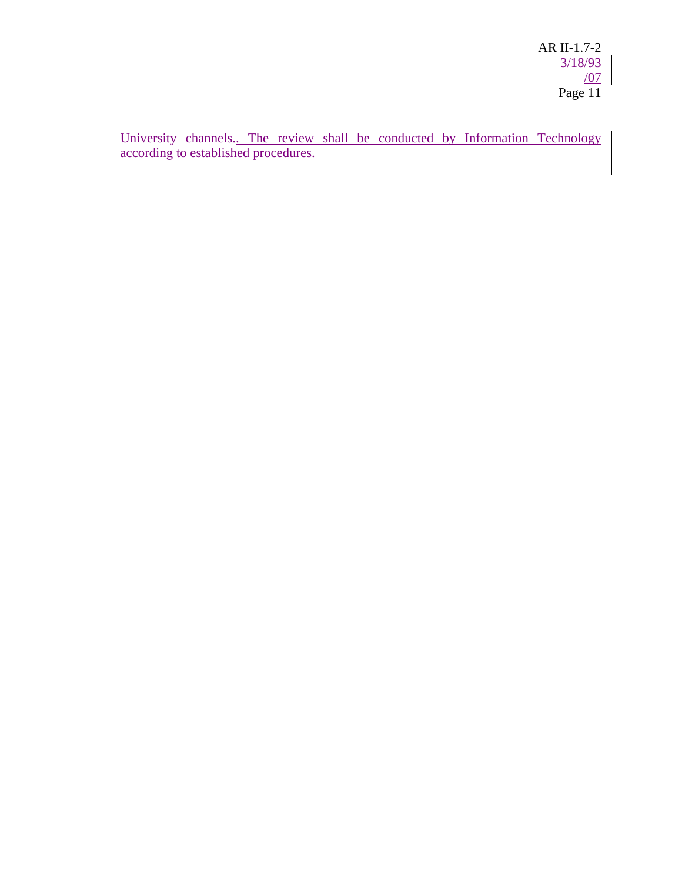University channels.. The review shall be conducted by Information Technology according to established procedures.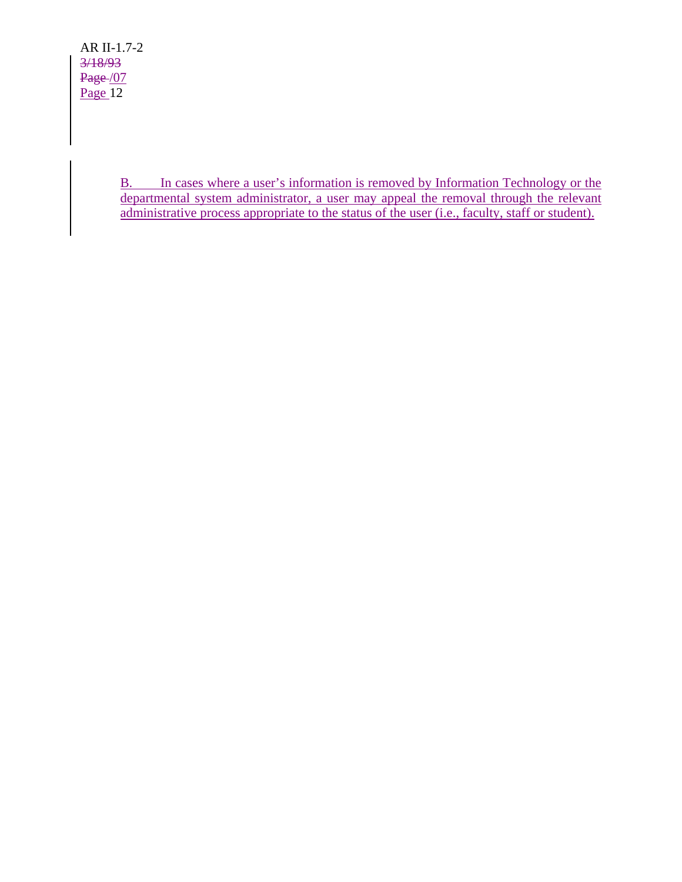AR II-1.7-2 3/18/93 Page /07  $Page$ <sup>12</sup>

> B. In cases where a user's information is removed by Information Technology or the departmental system administrator, a user may appeal the removal through the relevant administrative process appropriate to the status of the user (i.e., faculty, staff or student).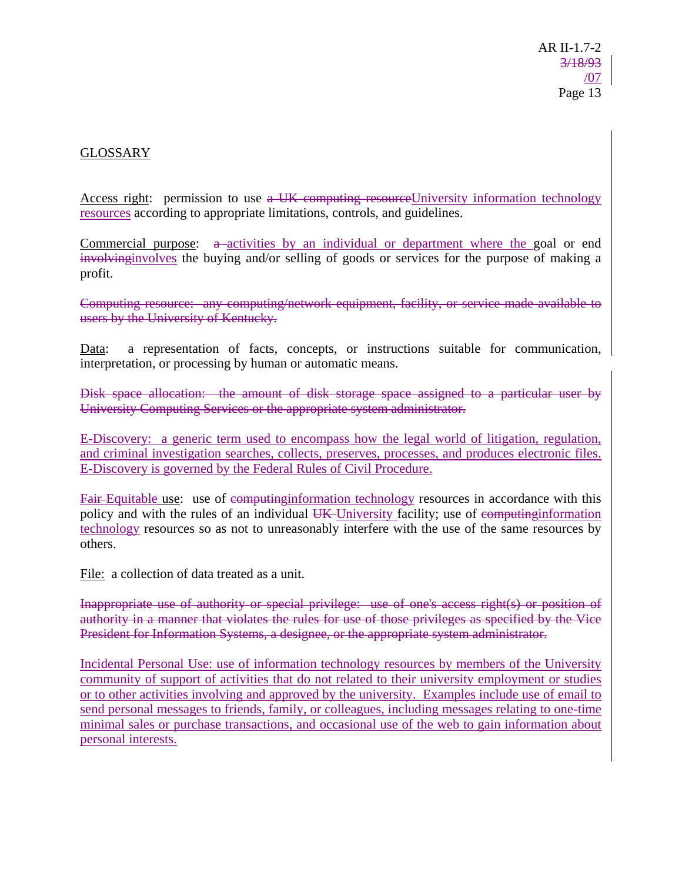## GLOSSARY

Access right: permission to use a UK computing resourceUniversity information technology resources according to appropriate limitations, controls, and guidelines.

Commercial purpose:  $a$ -activities by an individual or department where the goal or end involvinginvolves the buying and/or selling of goods or services for the purpose of making a profit.

Computing resource: any computing/network equipment, facility, or service made available to users by the University of Kentucky.

Data: a representation of facts, concepts, or instructions suitable for communication, interpretation, or processing by human or automatic means.

Disk space allocation: the amount of disk storage space assigned to a particular user by University Computing Services or the appropriate system administrator.

E-Discovery: a generic term used to encompass how the legal world of litigation, regulation, and criminal investigation searches, collects, preserves, processes, and produces electronic files. E-Discovery is governed by the Federal Rules of Civil Procedure.

Fair-Equitable use: use of computing examples in accordance with this policy and with the rules of an individual UK-University facility; use of computing information technology resources so as not to unreasonably interfere with the use of the same resources by others.

File: a collection of data treated as a unit.

Inappropriate use of authority or special privilege: use of one's access right(s) or position of authority in a manner that violates the rules for use of those privileges as specified by the Vice President for Information Systems, a designee, or the appropriate system administrator.

Incidental Personal Use: use of information technology resources by members of the University community of support of activities that do not related to their university employment or studies or to other activities involving and approved by the university. Examples include use of email to send personal messages to friends, family, or colleagues, including messages relating to one-time minimal sales or purchase transactions, and occasional use of the web to gain information about personal interests.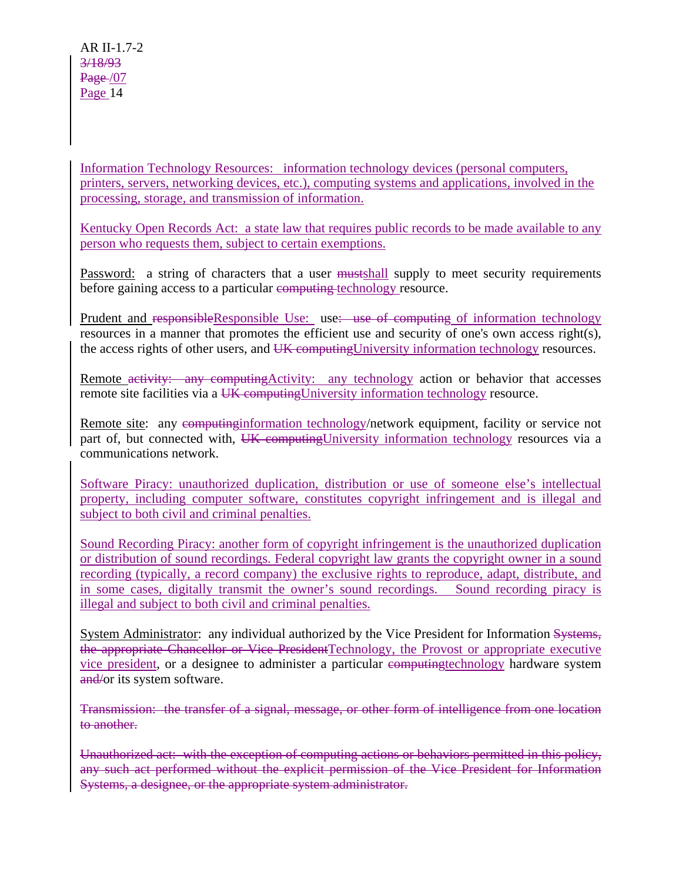Information Technology Resources: information technology devices (personal computers, printers, servers, networking devices, etc.), computing systems and applications, involved in the processing, storage, and transmission of information.

Kentucky Open Records Act: a state law that requires public records to be made available to any person who requests them, subject to certain exemptions.

Password: a string of characters that a user mustshall supply to meet security requirements before gaining access to a particular computing technology resource.

Prudent and responsibleResponsible Use: use: use of computing of information technology resources in a manner that promotes the efficient use and security of one's own access right(s), the access rights of other users, and UK computingUniversity information technology resources.

Remote activity: any computing Activity: any technology action or behavior that accesses remote site facilities via a UK computing University information technology resource.

Remote site: any computing information technology/network equipment, facility or service not part of, but connected with, UK computing University information technology resources via a communications network.

Software Piracy: unauthorized duplication, distribution or use of someone else's intellectual property, including computer software, constitutes copyright infringement and is illegal and subject to both civil and criminal penalties.

Sound Recording Piracy: another form of copyright infringement is the unauthorized duplication or distribution of sound recordings. Federal copyright law grants the copyright owner in a sound recording (typically, a record company) the exclusive rights to reproduce, adapt, distribute, and in some cases, digitally transmit the owner's sound recordings. Sound recording piracy is illegal and subject to both civil and criminal penalties.

System Administrator: any individual authorized by the Vice President for Information Systems, the appropriate Chancellor or Vice PresidentTechnology, the Provost or appropriate executive vice president, or a designee to administer a particular espectrum enterpreted produced variables with the system and/or its system software.

Transmission: the transfer of a signal, message, or other form of intelligence from one location to another.

Unauthorized act: with the exception of computing actions or behaviors permitted in this policy, any such act performed without the explicit permission of the Vice President for Information Systems, a designee, or the appropriate system administrator.